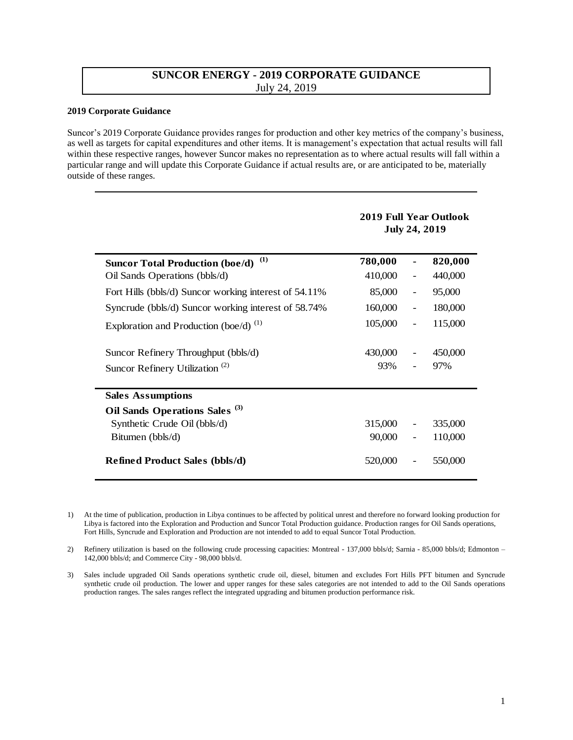## **SUNCOR ENERGY - 2019 CORPORATE GUIDANCE**  July 24, 2019

## **2019 Corporate Guidance**

Suncor's 2019 Corporate Guidance provides ranges for production and other key metrics of the company's business, as well as targets for capital expenditures and other items. It is management's expectation that actual results will fall within these respective ranges, however Suncor makes no representation as to where actual results will fall within a particular range and will update this Corporate Guidance if actual results are, or are anticipated to be, materially outside of these ranges.

|                                                       | <b>July 24, 2019</b> |                          |         |
|-------------------------------------------------------|----------------------|--------------------------|---------|
| (1)<br><b>Suncor Total Production (boe/d)</b>         | 780,000              |                          | 820,000 |
| Oil Sands Operations (bbls/d)                         | 410,000              | $\overline{\phantom{0}}$ | 440,000 |
| Fort Hills (bbls/d) Suncor working interest of 54.11% | 85,000               | $\overline{\phantom{0}}$ | 95,000  |
| Syncrude (bbls/d) Suncor working interest of 58.74%   | 160,000              | $\overline{\phantom{a}}$ | 180,000 |
| Exploration and Production (boe/d) $^{(1)}$           | 105,000              |                          | 115,000 |
| Suncor Refinery Throughput (bbls/d)                   | 430,000              | $\qquad \qquad -$        | 450,000 |
| Suncor Refinery Utilization <sup>(2)</sup>            | 93%                  |                          | 97%     |
| <b>Sales Assumptions</b>                              |                      |                          |         |
| Oil Sands Operations Sales <sup>(3)</sup>             |                      |                          |         |
| Synthetic Crude Oil (bbls/d)                          | 315,000              |                          | 335,000 |
| Bitumen (bbls/d)                                      | 90,000               |                          | 110,000 |
| <b>Refined Product Sales (bbls/d)</b>                 | 520,000              |                          | 550,000 |

1) At the time of publication, production in Libya continues to be affected by political unrest and therefore no forward looking production for Libya is factored into the Exploration and Production and Suncor Total Production guidance. Production ranges for Oil Sands operations, Fort Hills, Syncrude and Exploration and Production are not intended to add to equal Suncor Total Production.

2) Refinery utilization is based on the following crude processing capacities: Montreal - 137,000 bbls/d; Sarnia - 85,000 bbls/d; Edmonton – 142,000 bbls/d; and Commerce City - 98,000 bbls/d.

3) Sales include upgraded Oil Sands operations synthetic crude oil, diesel, bitumen and excludes Fort Hills PFT bitumen and Syncrude synthetic crude oil production. The lower and upper ranges for these sales categories are not intended to add to the Oil Sands operations production ranges. The sales ranges reflect the integrated upgrading and bitumen production performance risk.

## **2019 Full Year Outlook**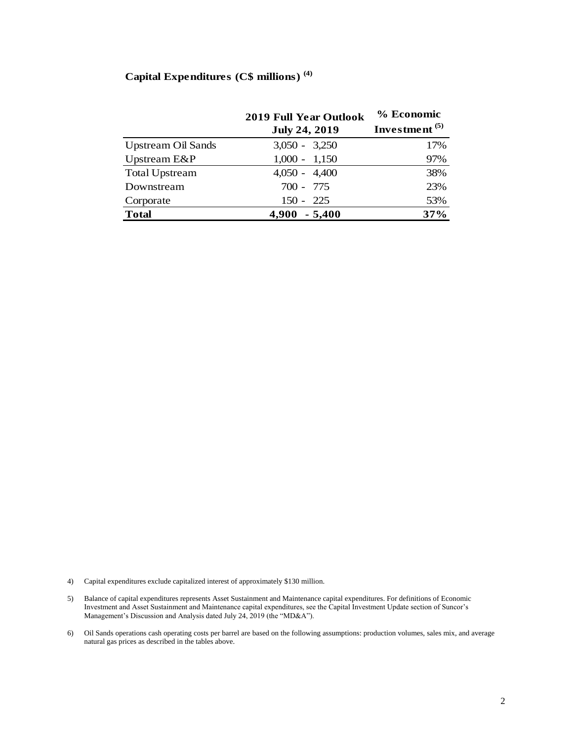## **Capital Expenditures (C\$ millions) (4)**

|                           | <b>2019 Full Year Outlook</b> | % Economic                |  |
|---------------------------|-------------------------------|---------------------------|--|
|                           | <b>July 24, 2019</b>          | Investment <sup>(5)</sup> |  |
| <b>Upstream Oil Sands</b> | $3,050 - 3,250$               | 17%                       |  |
| Upstream E&P              | $1,000 - 1,150$               | 97%                       |  |
| <b>Total Upstream</b>     | $4,050 - 4,400$               | 38%                       |  |
| Downstream                | $700 - 775$                   | 23%                       |  |
| Corporate                 | $150 - 225$                   | 53%                       |  |
| <b>Total</b>              | 4,900<br>$-5,400$             | 37%                       |  |
|                           |                               |                           |  |

4) Capital expenditures exclude capitalized interest of approximately \$130 million.

- 5) Balance of capital expenditures represents Asset Sustainment and Maintenance capital expenditures. For definitions of Economic Investment and Asset Sustainment and Maintenance capital expenditures, see the Capital Investment Update section of Suncor's Management's Discussion and Analysis dated July 24, 2019 (the "MD&A").
- 6) Oil Sands operations cash operating costs per barrel are based on the following assumptions: production volumes, sales mix, and average natural gas prices as described in the tables above.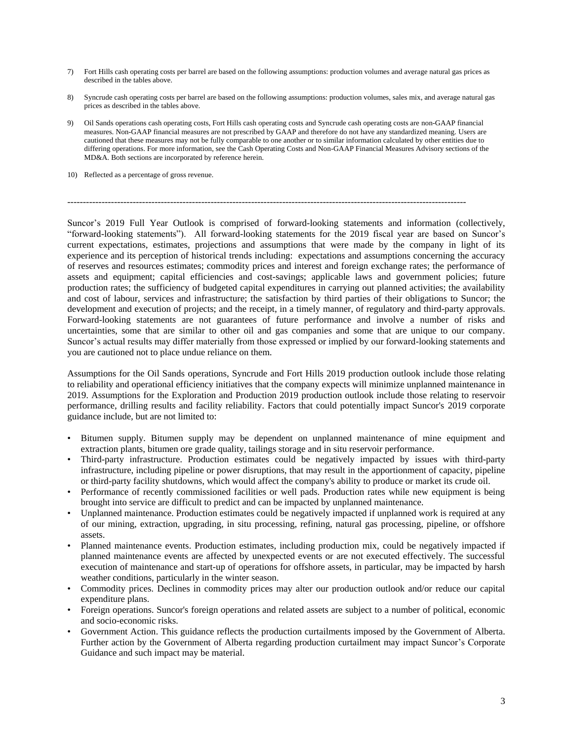- 7) Fort Hills cash operating costs per barrel are based on the following assumptions: production volumes and average natural gas prices as described in the tables above.
- 8) Syncrude cash operating costs per barrel are based on the following assumptions: production volumes, sales mix, and average natural gas prices as described in the tables above.
- 9) Oil Sands operations cash operating costs, Fort Hills cash operating costs and Syncrude cash operating costs are non-GAAP financial measures. Non-GAAP financial measures are not prescribed by GAAP and therefore do not have any standardized meaning. Users are cautioned that these measures may not be fully comparable to one another or to similar information calculated by other entities due to differing operations. For more information, see the Cash Operating Costs and Non-GAAP Financial Measures Advisory sections of the MD&A. Both sections are incorporated by reference herein.
- 10) Reflected as a percentage of gross revenue.

 $-1.1$ 

Suncor's 2019 Full Year Outlook is comprised of forward-looking statements and information (collectively, "forward-looking statements"). All forward-looking statements for the 2019 fiscal year are based on Suncor's current expectations, estimates, projections and assumptions that were made by the company in light of its experience and its perception of historical trends including: expectations and assumptions concerning the accuracy of reserves and resources estimates; commodity prices and interest and foreign exchange rates; the performance of assets and equipment; capital efficiencies and cost-savings; applicable laws and government policies; future production rates; the sufficiency of budgeted capital expenditures in carrying out planned activities; the availability and cost of labour, services and infrastructure; the satisfaction by third parties of their obligations to Suncor; the development and execution of projects; and the receipt, in a timely manner, of regulatory and third-party approvals. Forward-looking statements are not guarantees of future performance and involve a number of risks and uncertainties, some that are similar to other oil and gas companies and some that are unique to our company. Suncor's actual results may differ materially from those expressed or implied by our forward-looking statements and you are cautioned not to place undue reliance on them.

Assumptions for the Oil Sands operations, Syncrude and Fort Hills 2019 production outlook include those relating to reliability and operational efficiency initiatives that the company expects will minimize unplanned maintenance in 2019. Assumptions for the Exploration and Production 2019 production outlook include those relating to reservoir performance, drilling results and facility reliability. Factors that could potentially impact Suncor's 2019 corporate guidance include, but are not limited to:

- Bitumen supply. Bitumen supply may be dependent on unplanned maintenance of mine equipment and extraction plants, bitumen ore grade quality, tailings storage and in situ reservoir performance.
- Third-party infrastructure. Production estimates could be negatively impacted by issues with third-party infrastructure, including pipeline or power disruptions, that may result in the apportionment of capacity, pipeline or third-party facility shutdowns, which would affect the company's ability to produce or market its crude oil.
- Performance of recently commissioned facilities or well pads. Production rates while new equipment is being brought into service are difficult to predict and can be impacted by unplanned maintenance.
- Unplanned maintenance. Production estimates could be negatively impacted if unplanned work is required at any of our mining, extraction, upgrading, in situ processing, refining, natural gas processing, pipeline, or offshore assets.
- Planned maintenance events. Production estimates, including production mix, could be negatively impacted if planned maintenance events are affected by unexpected events or are not executed effectively. The successful execution of maintenance and start-up of operations for offshore assets, in particular, may be impacted by harsh weather conditions, particularly in the winter season.
- Commodity prices. Declines in commodity prices may alter our production outlook and/or reduce our capital expenditure plans.
- Foreign operations. Suncor's foreign operations and related assets are subject to a number of political, economic and socio-economic risks.
- Government Action. This guidance reflects the production curtailments imposed by the Government of Alberta. Further action by the Government of Alberta regarding production curtailment may impact Suncor's Corporate Guidance and such impact may be material.